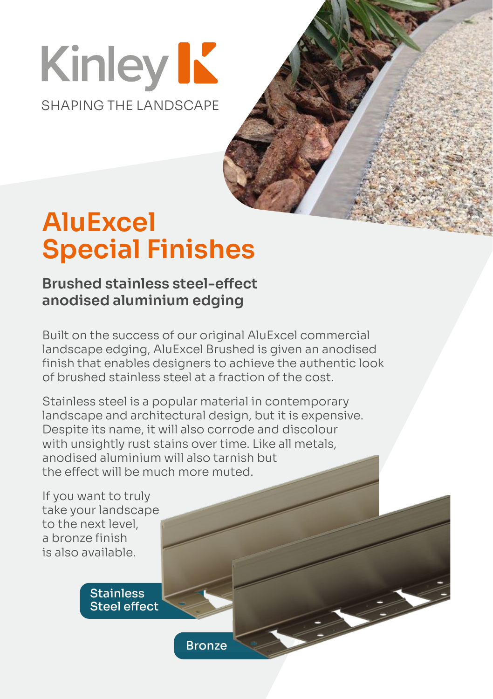# **Kinley K** SHAPING THE LANDSCAPE

## **AluExcel Special Finishes**

#### **Brushed stainless steel-effect anodised aluminium edging**

Built on the success of our original AluExcel commercial landscape edging, AluExcel Brushed is given an anodised finish that enables designers to achieve the authentic look of brushed stainless steel at a fraction of the cost.

Stainless steel is a popular material in contemporary landscape and architectural design, but it is expensive. Despite its name, it will also corrode and discolour with unsightly rust stains over time. Like all metals, anodised aluminium will also tarnish but the effect will be much more muted.

If you want to truly take your landscape to the next level, a bronze finish is also available.

> **Stainless** Steel effect

> > **Bronze**